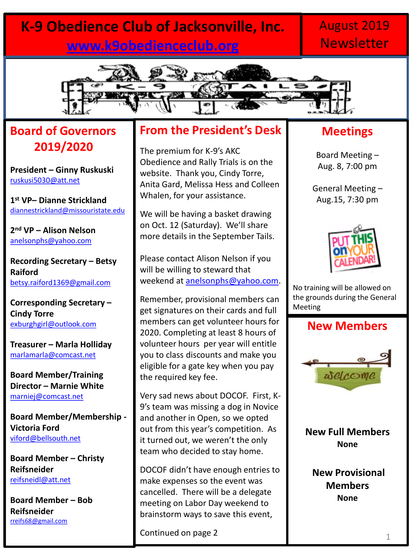### **K-9 Obedience Club of Jacksonville, Inc. [www.k9obedienceclub.org](http://www.k9obedienceclub.org/)**

### August 2019 **Newsletter**



### **Board of Governors 2019/2020**

**President – Ginny Ruskuski** [ruskusi5030@att.net](mailto:ruskusi5030@att.net)

**1 st VP– Dianne Strickland** [diannestrickland@missouristate.edu](mailto:diannestrickland@missouristate.edu)

**2 nd VP – Alison Nelson** [anelsonphs@yahoo.com](mailto:anelsonphs@yahoo.com)

**Recording Secretary – Betsy Raiford** [betsy.raiford1369@gmail.com](mailto:betsy.raiford1369@gmail.com)

**Corresponding Secretary – Cindy Torre** [exburghgirl@outlook.com](mailto:exburghgirl@outlook.com)

**Treasurer – Marla Holliday** [marlamarla@comcast.net](mailto:marlamarla@comcast.net)

**Board Member/Training Director – Marnie White**  [marniej@comcast.net](mailto:marniej@comcast.net)

**Board Member/Membership - Victoria Ford** [viford@bellsouth.net](mailto:viford@bellsouth.net)

**Board Member – Christy Reifsneider** [reifsneidl@att.net](mailto:reifsneidl@att.net)

**Board Member – Bob Reifsneider** [rreifs68@gmail.com](mailto:rreifs68@gmail.com)

#### **From the President's Desk**

The premium for K-9's AKC Obedience and Rally Trials is on the website. Thank you, Cindy Torre, Anita Gard, Melissa Hess and Colleen Whalen, for your assistance.

We will be having a basket drawing on Oct. 12 (Saturday). We'll share more details in the September Tails.

Please contact Alison Nelson if you will be willing to steward that weekend at [anelsonphs@yahoo.com.](mailto:anelsonphs@yahoo.com)

Remember, provisional members can get signatures on their cards and full members can get volunteer hours for 2020. Completing at least 8 hours of volunteer hours per year will entitle you to class discounts and make you eligible for a gate key when you pay the required key fee.

Very sad news about DOCOF. First, K-9's team was missing a dog in Novice and another in Open, so we opted out from this year's competition. As it turned out, we weren't the only team who decided to stay home.

DOCOF didn't have enough entries to make expenses so the event was cancelled. There will be a delegate meeting on Labor Day weekend to brainstorm ways to save this event,

Continued on page 2

### **Meetings**

Board Meeting – Aug. 8, 7:00 pm

General Meeting – Aug.15, 7:30 pm



No training will be allowed on the grounds during the General Meeting

#### **New Members**



**New Full Members None**

**New Provisional Members None**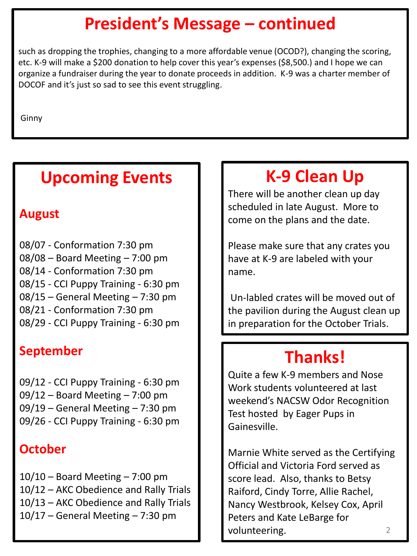## **President's Message – continued**

such as dropping the trophies, changing to a more affordable venue (OCOD?), changing the scoring, etc. K-9 will make a \$200 donation to help cover this year's expenses (\$8,500.) and I hope we can organize a fundraiser during the year to donate proceeds in addition. K-9 was a charter member of DOCOF and it's just so sad to see this event struggling.

Ginny

## **Upcoming Events**

### **August**

08/07 - Conformation 7:30 pm 08/08 – Board Meeting – 7:00 pm 08/14 - Conformation 7:30 pm 08/15 - CCI Puppy Training - 6:30 pm 08/15 – General Meeting – 7:30 pm 08/21 - Conformation 7:30 pm 08/29 - CCI Puppy Training - 6:30 pm

### **September**

09/12 - CCI Puppy Training - 6:30 pm 09/12 – Board Meeting – 7:00 pm 09/19 – General Meeting – 7:30 pm 09/26 - CCI Puppy Training - 6:30 pm

### **October**

 $10/10$  – Board Meeting – 7:00 pm 10/12 – AKC Obedience and Rally Trials 10/13 – AKC Obedience and Rally Trials  $10/17$  – General Meeting – 7:30 pm

# **K-9 Clean Up**

There will be another clean up day scheduled in late August. More to come on the plans and the date.

Please make sure that any crates you have at K-9 are labeled with your name.

Un-labled crates will be moved out of the pavilion during the August clean up in preparation for the October Trials.

# **Thanks!**

Quite a few K-9 members and Nose Work students volunteered at last weekend's NACSW Odor Recognition Test hosted by Eager Pups in Gainesville.

2 Marnie White served as the Certifying Official and Victoria Ford served as score lead. Also, thanks to Betsy Raiford, Cindy Torre, Allie Rachel, Nancy Westbrook, Kelsey Cox, April Peters and Kate LeBarge for volunteering.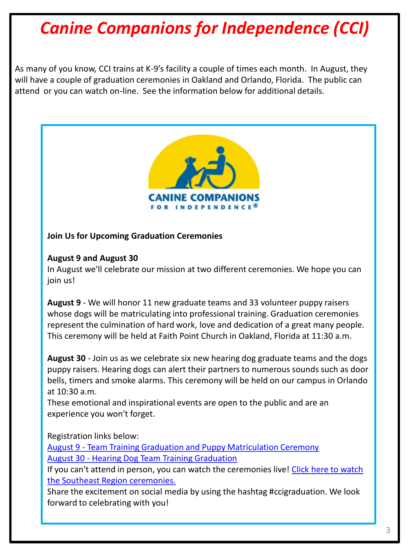# *Canine Companions for Independence (CCI)*

As many of you know, CCI trains at K-9's facility a couple of times each month. In August, they will have a couple of graduation ceremonies in Oakland and Orlando, Florida. The public can attend or you can watch on-line. See the information below for additional details.



#### **Join Us for Upcoming Graduation Ceremonies**

#### **August 9 and August 30**

In August we'll celebrate our mission at two different ceremonies. We hope you can join us!

**August 9** - We will honor 11 new graduate teams and 33 volunteer puppy raisers whose dogs will be matriculating into professional training. Graduation ceremonies represent the culmination of hard work, love and dedication of a great many people. This ceremony will be held at Faith Point Church in Oakland, Florida at 11:30 a.m.

**August 30** - Join us as we celebrate six new hearing dog graduate teams and the dogs puppy raisers. Hearing dogs can alert their partners to numerous sounds such as door bells, timers and smoke alarms. This ceremony will be held on our campus in Orlando at 10:30 a.m.

These emotional and inspirational events are open to the public and are an experience you won't forget.

Registration links below:

[August 9 -](https://secure.cci.org/site/R?i=TG1EJBWVem_oY7inK8KehA) [Team Training Graduation and Puppy Matriculation Ceremony](https://secure.cci.org/site/R?i=TG1EJBWVem_oY7inK8KehA) [August 30 -](https://secure.cci.org/site/R?i=HfPLmxvkJnrreMzKkjVCEw) [Hearing Dog Team Training Graduation](https://secure.cci.org/site/R?i=HfPLmxvkJnrreMzKkjVCEw) 

If you can't attend in person, you can watch the ceremonies live! Click here to watch [the Southeast Region ceremonies.](https://secure.cci.org/site/R?i=XoBxTDL94PM257BYovKICw)

Share the excitement on social media by using the hashtag #ccigraduation. We look forward to celebrating with you!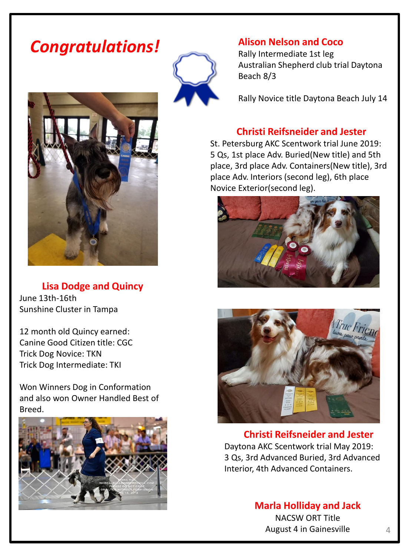## *Congratulations!*



**Lisa Dodge and Quincy** June 13th-16th Sunshine Cluster in Tampa

12 month old Quincy earned: Canine Good Citizen title: CGC Trick Dog Novice: TKN Trick Dog Intermediate: TKI

Won Winners Dog in Conformation and also won Owner Handled Best of Breed.





#### **Alison Nelson and Coco**

Rally Intermediate 1st leg Australian Shepherd club trial Daytona Beach 8/3

Rally Novice title Daytona Beach July 14

#### **Christi Reifsneider and Jester**

St. Petersburg AKC Scentwork trial June 2019: 5 Qs, 1st place Adv. Buried(New title) and 5th place, 3rd place Adv. Containers(New title), 3rd place Adv. Interiors (second leg), 6th place Novice Exterior(second leg).





**Christi Reifsneider and Jester** Daytona AKC Scentwork trial May 2019: 3 Qs, 3rd Advanced Buried, 3rd Advanced Interior, 4th Advanced Containers.

> **Marla Holliday and Jack** NACSW ORT Title August 4 in Gainesville